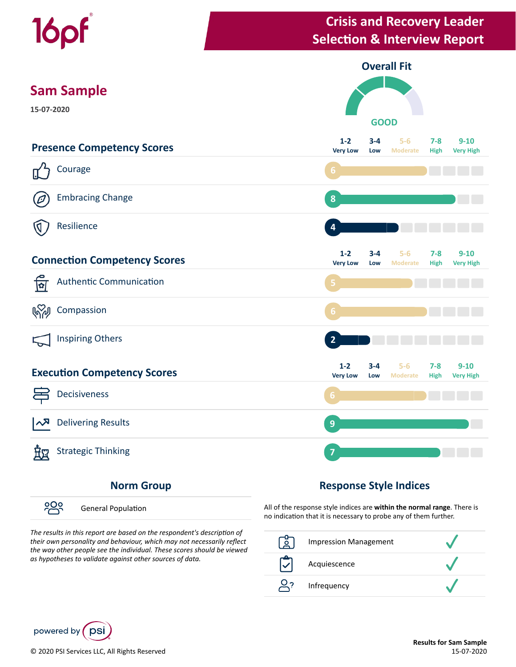

#### **Norm Group**

၁၀၀ General Population

The results in this report are based on the respondent's description of *their own personality and behaviour, which may not necessarily reflect the way other people see the individual. These scores should be viewed as hypotheses to validate against other sources of data.*

#### **Response Style Indices**

All of the response style indices are **within the normal range**. There is no indication that it is necessary to probe any of them further.

| <b>Impression Management</b> |  |
|------------------------------|--|
| Acquiescence                 |  |
| Infrequency                  |  |

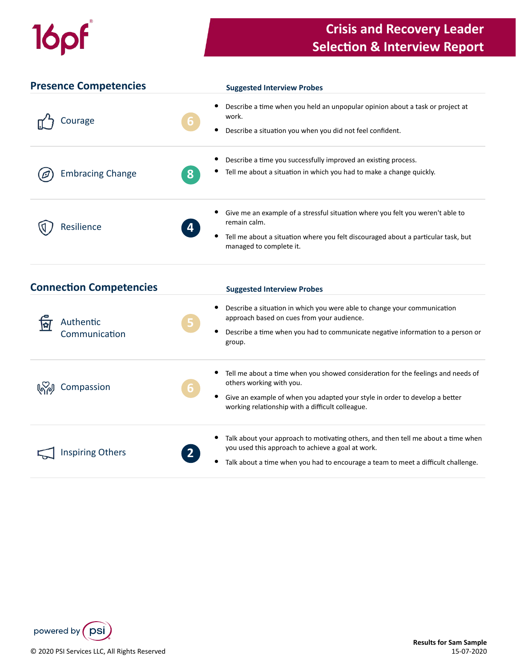# 16pf

### **Crisis and Recovery Leader Selection & Interview Report**

| <b>Presence Competencies</b>   | <b>Suggested Interview Probes</b>                                                                                                                                                                                                         |
|--------------------------------|-------------------------------------------------------------------------------------------------------------------------------------------------------------------------------------------------------------------------------------------|
| Courage                        | Describe a time when you held an unpopular opinion about a task or project at<br>work.<br>6<br>Describe a situation you when you did not feel confident.<br>٠                                                                             |
| <b>Embracing Change</b>        | Describe a time you successfully improved an existing process.<br>Tell me about a situation in which you had to make a change quickly.<br>8                                                                                               |
| Resilience                     | Give me an example of a stressful situation where you felt you weren't able to<br>remain calm.<br>Tell me about a situation where you felt discouraged about a particular task, but<br>managed to complete it.                            |
| <b>Connection Competencies</b> | <b>Suggested Interview Probes</b>                                                                                                                                                                                                         |
| Authentic                      | Describe a situation in which you were able to change your communication<br>$\bullet$<br>approach based on cues from your audience.<br>Proceeding a after a colorado como la alta a concerte de la característica forma a forma a concert |

| Compassion              | 6 <sup>1</sup> | Tell me about a time when you showed consideration for the feelings and needs of<br>others working with you.<br>Give an example of when you adapted your style in order to develop a better<br>working relationship with a difficult colleague. |
|-------------------------|----------------|-------------------------------------------------------------------------------------------------------------------------------------------------------------------------------------------------------------------------------------------------|
| <b>Inspiring Others</b> | 2              | Talk about your approach to motivating others, and then tell me about a time when<br>you used this approach to achieve a goal at work.                                                                                                          |
|                         |                | Talk about a time when you had to encourage a team to meet a difficult challenge.                                                                                                                                                               |

group.

• Describe a time when you had to communicate negative information to a person or



Communication